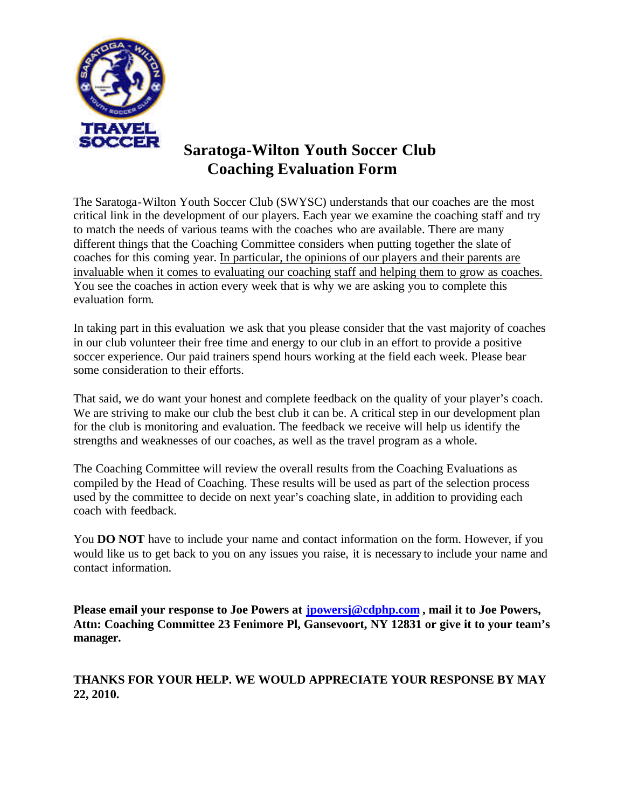

# **Saratoga-Wilton Youth Soccer Club Coaching Evaluation Form**

The Saratoga-Wilton Youth Soccer Club (SWYSC) understands that our coaches are the most critical link in the development of our players. Each year we examine the coaching staff and try to match the needs of various teams with the coaches who are available. There are many different things that the Coaching Committee considers when putting together the slate of coaches for this coming year. In particular, the opinions of our players and their parents are invaluable when it comes to evaluating our coaching staff and helping them to grow as coaches. You see the coaches in action every week that is why we are asking you to complete this evaluation form.

In taking part in this evaluation we ask that you please consider that the vast majority of coaches in our club volunteer their free time and energy to our club in an effort to provide a positive soccer experience. Our paid trainers spend hours working at the field each week. Please bear some consideration to their efforts.

That said, we do want your honest and complete feedback on the quality of your player's coach. We are striving to make our club the best club it can be. A critical step in our development plan for the club is monitoring and evaluation. The feedback we receive will help us identify the strengths and weaknesses of our coaches, as well as the travel program as a whole.

The Coaching Committee will review the overall results from the Coaching Evaluations as compiled by the Head of Coaching. These results will be used as part of the selection process used by the committee to decide on next year's coaching slate, in addition to providing each coach with feedback.

You **DO NOT** have to include your name and contact information on the form. However, if you would like us to get back to you on any issues you raise, it is necessary to include your name and contact information.

**Please email your response to Joe Powers at jpowersj@cdphp.com , mail it to Joe Powers, Attn: Coaching Committee 23 Fenimore Pl, Gansevoort, NY 12831 or give it to your team's manager.**

#### **THANKS FOR YOUR HELP. WE WOULD APPRECIATE YOUR RESPONSE BY MAY 22, 2010.**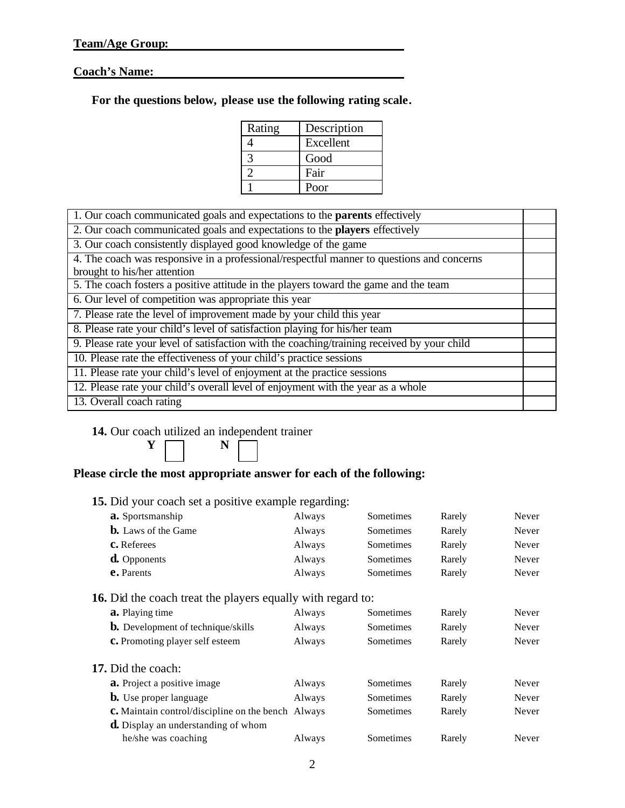#### **Coach's Name:**

| For the questions below, please use the following rating scale. |  |  |  |  |  |  |  |  |  |
|-----------------------------------------------------------------|--|--|--|--|--|--|--|--|--|
|-----------------------------------------------------------------|--|--|--|--|--|--|--|--|--|

| Rating | Description |
|--------|-------------|
|        | Excellent   |
|        | Good        |
|        | Fair        |
|        | Poor        |

| 1. Our coach communicated goals and expectations to the <b>parents</b> effectively          |  |  |  |  |
|---------------------------------------------------------------------------------------------|--|--|--|--|
| 2. Our coach communicated goals and expectations to the players effectively                 |  |  |  |  |
| 3. Our coach consistently displayed good knowledge of the game                              |  |  |  |  |
| 4. The coach was responsive in a professional/respectful manner to questions and concerns   |  |  |  |  |
| brought to his/her attention                                                                |  |  |  |  |
| 5. The coach fosters a positive attitude in the players toward the game and the team        |  |  |  |  |
| $\overline{6}$ . Our level of competition was appropriate this year                         |  |  |  |  |
| 7. Please rate the level of improvement made by your child this year                        |  |  |  |  |
| 8. Please rate your child's level of satisfaction playing for his/her team                  |  |  |  |  |
| 9. Please rate your level of satisfaction with the coaching/training received by your child |  |  |  |  |
| 10. Please rate the effectiveness of your child's practice sessions                         |  |  |  |  |
| 11. Please rate your child's level of enjoyment at the practice sessions                    |  |  |  |  |
| 12. Please rate your child's overall level of enjoyment with the year as a whole            |  |  |  |  |
| 13. Overall coach rating                                                                    |  |  |  |  |
|                                                                                             |  |  |  |  |

### **14.** Our coach utilized an independent trainer



## **Please circle the most appropriate answer for each of the following:**

|  |  |  | 15. Did your coach set a positive example regarding: |
|--|--|--|------------------------------------------------------|
|  |  |  |                                                      |

| a. Sportsmanship                                                   | Always | <b>Sometimes</b> | Rarely | Never |
|--------------------------------------------------------------------|--------|------------------|--------|-------|
| <b>b.</b> Laws of the Game                                         | Always | <b>Sometimes</b> | Rarely | Never |
| <b>C.</b> Referees                                                 | Always | Sometimes        | Rarely | Never |
| <b>d.</b> Opponents                                                | Always | Sometimes        | Rarely | Never |
| e. Parents                                                         | Always | Sometimes        | Rarely | Never |
| <b>16.</b> Did the coach treat the players equally with regard to: |        |                  |        |       |
| <b>a.</b> Playing time                                             | Always | <b>Sometimes</b> | Rarely | Never |
| <b>b.</b> Development of technique/skills                          | Always | Sometimes        | Rarely | Never |
| <b>c.</b> Promoting player self esteem                             | Always | Sometimes        | Rarely | Never |
| <b>17.</b> Did the coach:                                          |        |                  |        |       |
| <b>a.</b> Project a positive image                                 | Always | <b>Sometimes</b> | Rarely | Never |
| <b>b.</b> Use proper language                                      | Always | Sometimes        | Rarely | Never |
| <b>c.</b> Maintain control/discipline on the bench Always          |        | Sometimes        | Rarely | Never |
| <b>d.</b> Display an understanding of whom                         |        |                  |        |       |
| he/she was coaching                                                | Always | Sometimes        | Rarely | Never |
|                                                                    |        |                  |        |       |